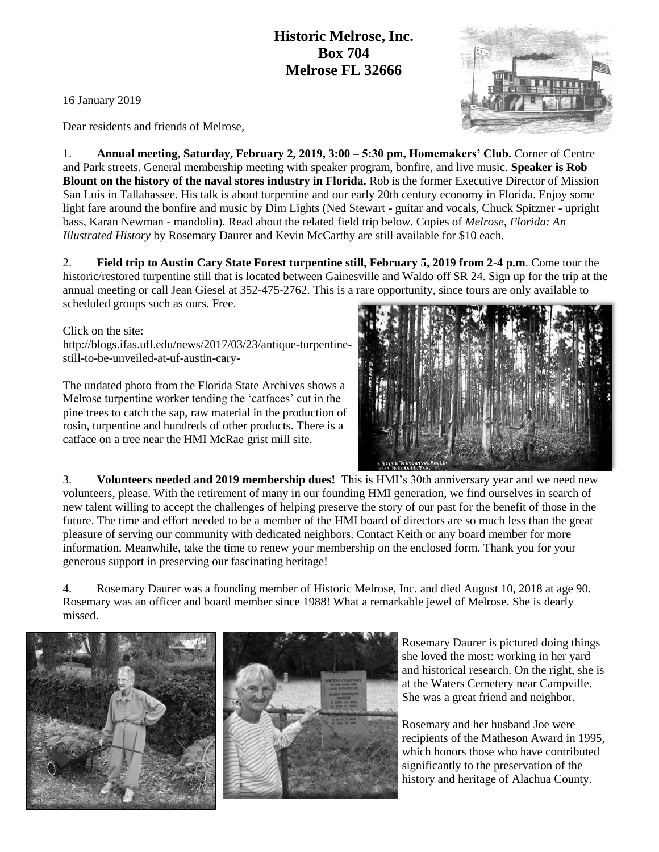## **Historic Melrose, Inc. Box 704 Melrose FL 32666**

16 January 2019

Dear residents and friends of Melrose,

1. **Annual meeting, Saturday, February 2, 2019, 3:00 – 5:30 pm, Homemakers' Club.** Corner of Centre and Park streets. General membership meeting with speaker program, bonfire, and live music. **Speaker is Rob Blount on the history of the naval stores industry in Florida.** Rob is the former Executive Director of Mission San Luis in Tallahassee. His talk is about turpentine and our early 20th century economy in Florida. Enjoy some light fare around the bonfire and music by Dim Lights (Ned Stewart - guitar and vocals, Chuck Spitzner - upright bass, Karan Newman - mandolin). Read about the related field trip below. Copies of *Melrose, Florida: An Illustrated History* by Rosemary Daurer and Kevin McCarthy are still available for \$10 each.

2. **Field trip to Austin Cary State Forest turpentine still, February 5, 2019 from 2-4 p.m**. Come tour the historic/restored turpentine still that is located between Gainesville and Waldo off SR 24. Sign up for the trip at the annual meeting or call Jean Giesel at 352-475-2762. This is a rare opportunity, since tours are only available to scheduled groups such as ours. Free.

Click on the site:

http://blogs.ifas.ufl.edu/news/2017/03/23/antique-turpentinestill-to-be-unveiled-at-uf-austin-cary-

The undated photo from the Florida State Archives shows a Melrose turpentine worker tending the 'catfaces' cut in the pine trees to catch the sap, raw material in the production of rosin, turpentine and hundreds of other products. There is a catface on a tree near the HMI McRae grist mill site.



3. **Volunteers needed and 2019 membership dues!** This is HMI's 30th anniversary year and we need new volunteers, please. With the retirement of many in our founding HMI generation, we find ourselves in search of new talent willing to accept the challenges of helping preserve the story of our past for the benefit of those in the future. The time and effort needed to be a member of the HMI board of directors are so much less than the great pleasure of serving our community with dedicated neighbors. Contact Keith or any board member for more information. Meanwhile, take the time to renew your membership on the enclosed form. Thank you for your generous support in preserving our fascinating heritage!

4. Rosemary Daurer was a founding member of Historic Melrose, Inc. and died August 10, 2018 at age 90. Rosemary was an officer and board member since 1988! What a remarkable jewel of Melrose. She is dearly missed.





Rosemary Daurer is pictured doing things she loved the most: working in her yard and historical research. On the right, she is at the Waters Cemetery near Campville. She was a great friend and neighbor.

Rosemary and her husband Joe were recipients of the Matheson Award in 1995, which honors those who have contributed significantly to the preservation of the history and heritage of Alachua County.

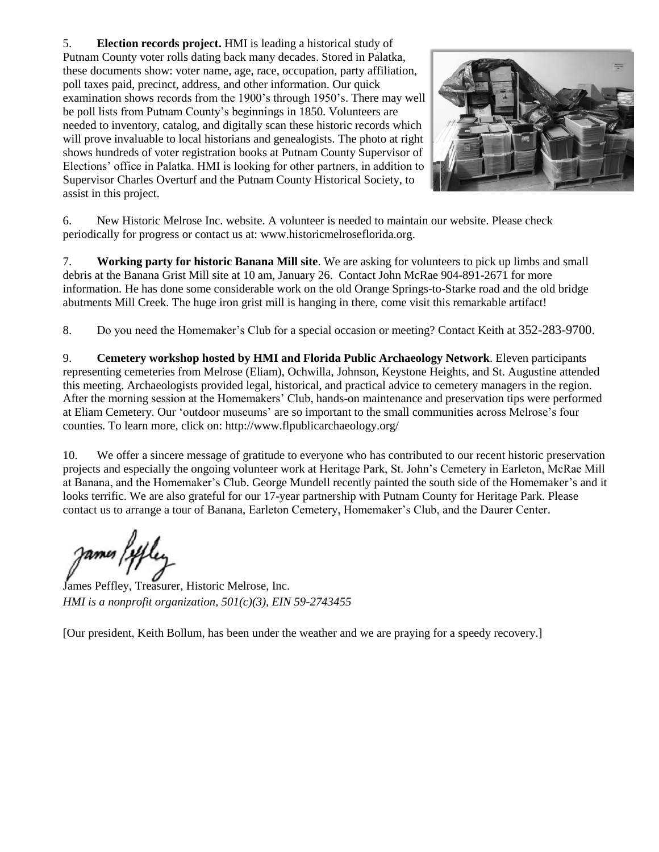5. **Election records project.** HMI is leading a historical study of Putnam County voter rolls dating back many decades. Stored in Palatka, these documents show: voter name, age, race, occupation, party affiliation, poll taxes paid, precinct, address, and other information. Our quick examination shows records from the 1900's through 1950's. There may well be poll lists from Putnam County's beginnings in 1850. Volunteers are needed to inventory, catalog, and digitally scan these historic records which will prove invaluable to local historians and genealogists. The photo at right shows hundreds of voter registration books at Putnam County Supervisor of Elections' office in Palatka. HMI is looking for other partners, in addition to Supervisor Charles Overturf and the Putnam County Historical Society, to assist in this project.



6. New Historic Melrose Inc. website. A volunteer is needed to maintain our website. Please check periodically for progress or contact us at: www.historicmelroseflorida.org.

7. **Working party for historic Banana Mill site**. We are asking for volunteers to pick up limbs and small debris at the Banana Grist Mill site at 10 am, January 26. Contact John McRae 904-891-2671 for more information. He has done some considerable work on the old Orange Springs-to-Starke road and the old bridge abutments Mill Creek. The huge iron grist mill is hanging in there, come visit this remarkable artifact!

8. Do you need the Homemaker's Club for a special occasion or meeting? Contact Keith at 352-283-9700.

9. **Cemetery workshop hosted by HMI and Florida Public Archaeology Network**. Eleven participants representing cemeteries from Melrose (Eliam), Ochwilla, Johnson, Keystone Heights, and St. Augustine attended this meeting. Archaeologists provided legal, historical, and practical advice to cemetery managers in the region. After the morning session at the Homemakers' Club, hands-on maintenance and preservation tips were performed at Eliam Cemetery. Our 'outdoor museums' are so important to the small communities across Melrose's four counties. To learn more, click on: http://www.flpublicarchaeology.org/

10. We offer a sincere message of gratitude to everyone who has contributed to our recent historic preservation projects and especially the ongoing volunteer work at Heritage Park, St. John's Cemetery in Earleton, McRae Mill at Banana, and the Homemaker's Club. George Mundell recently painted the south side of the Homemaker's and it looks terrific. We are also grateful for our 17-year partnership with Putnam County for Heritage Park. Please contact us to arrange a tour of Banana, Earleton Cemetery, Homemaker's Club, and the Daurer Center.

James Peffley, Treasurer, Historic Melrose, Inc. *HMI is a nonprofit organization, 501(c)(3), EIN 59-2743455* 

[Our president, Keith Bollum, has been under the weather and we are praying for a speedy recovery.]